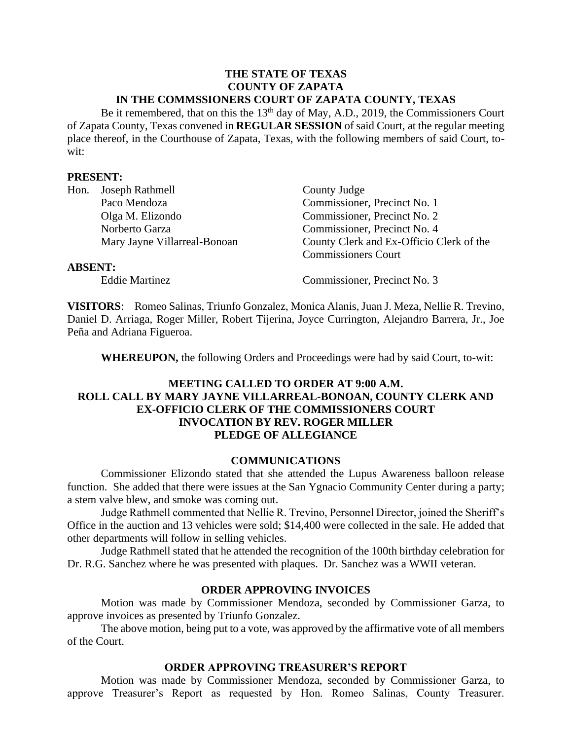#### **THE STATE OF TEXAS COUNTY OF ZAPATA IN THE COMMSSIONERS COURT OF ZAPATA COUNTY, TEXAS**

Be it remembered, that on this the  $13<sup>th</sup>$  day of May, A.D., 2019, the Commissioners Court of Zapata County, Texas convened in **REGULAR SESSION** of said Court, at the regular meeting place thereof, in the Courthouse of Zapata, Texas, with the following members of said Court, towit:

#### **PRESENT:**

| Hon.           | Joseph Rathmell              | County Judge                             |  |  |
|----------------|------------------------------|------------------------------------------|--|--|
|                | Paco Mendoza                 | Commissioner, Precinct No. 1             |  |  |
|                | Olga M. Elizondo             | Commissioner, Precinct No. 2             |  |  |
|                | Norberto Garza               | Commissioner, Precinct No. 4             |  |  |
|                | Mary Jayne Villarreal-Bonoan | County Clerk and Ex-Officio Clerk of the |  |  |
|                |                              | <b>Commissioners Court</b>               |  |  |
| <b>ABSENT:</b> |                              |                                          |  |  |
|                | <b>Eddie Martinez</b>        | Commissioner, Precinct No. 3             |  |  |

**VISITORS**: Romeo Salinas, Triunfo Gonzalez, Monica Alanis, Juan J. Meza, Nellie R. Trevino, Daniel D. Arriaga, Roger Miller, Robert Tijerina, Joyce Currington, Alejandro Barrera, Jr., Joe Peña and Adriana Figueroa.

**WHEREUPON,** the following Orders and Proceedings were had by said Court, to-wit:

# **MEETING CALLED TO ORDER AT 9:00 A.M. ROLL CALL BY MARY JAYNE VILLARREAL-BONOAN, COUNTY CLERK AND EX-OFFICIO CLERK OF THE COMMISSIONERS COURT INVOCATION BY REV. ROGER MILLER PLEDGE OF ALLEGIANCE**

#### **COMMUNICATIONS**

Commissioner Elizondo stated that she attended the Lupus Awareness balloon release function. She added that there were issues at the San Ygnacio Community Center during a party; a stem valve blew, and smoke was coming out.

Judge Rathmell commented that Nellie R. Trevino, Personnel Director, joined the Sheriff's Office in the auction and 13 vehicles were sold; \$14,400 were collected in the sale. He added that other departments will follow in selling vehicles.

Judge Rathmell stated that he attended the recognition of the 100th birthday celebration for Dr. R.G. Sanchez where he was presented with plaques. Dr. Sanchez was a WWII veteran.

#### **ORDER APPROVING INVOICES**

Motion was made by Commissioner Mendoza, seconded by Commissioner Garza, to approve invoices as presented by Triunfo Gonzalez.

The above motion, being put to a vote, was approved by the affirmative vote of all members of the Court.

#### **ORDER APPROVING TREASURER'S REPORT**

Motion was made by Commissioner Mendoza, seconded by Commissioner Garza, to approve Treasurer's Report as requested by Hon. Romeo Salinas, County Treasurer.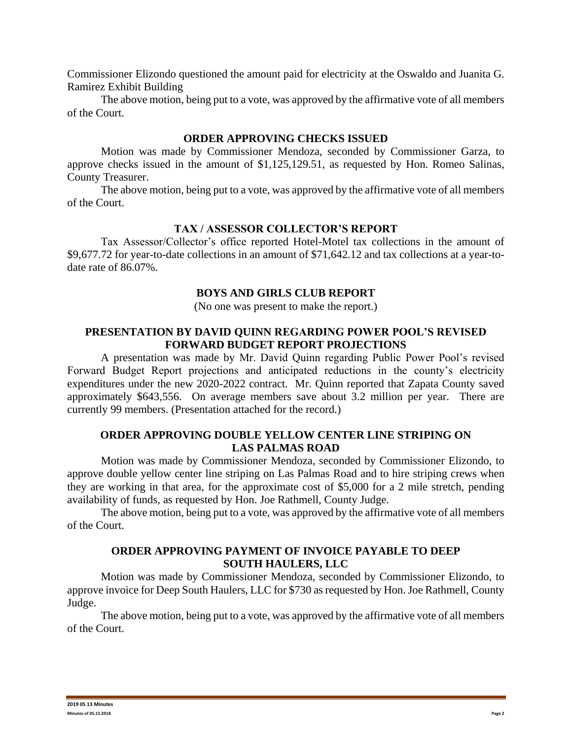Commissioner Elizondo questioned the amount paid for electricity at the Oswaldo and Juanita G. Ramirez Exhibit Building

The above motion, being put to a vote, was approved by the affirmative vote of all members of the Court.

## **ORDER APPROVING CHECKS ISSUED**

Motion was made by Commissioner Mendoza, seconded by Commissioner Garza, to approve checks issued in the amount of \$1,125,129.51, as requested by Hon. Romeo Salinas, County Treasurer.

The above motion, being put to a vote, was approved by the affirmative vote of all members of the Court.

#### **TAX / ASSESSOR COLLECTOR'S REPORT**

Tax Assessor/Collector's office reported Hotel-Motel tax collections in the amount of \$9,677.72 for year-to-date collections in an amount of \$71,642.12 and tax collections at a year-todate rate of 86.07%.

## **BOYS AND GIRLS CLUB REPORT**

(No one was present to make the report.)

## **PRESENTATION BY DAVID QUINN REGARDING POWER POOL'S REVISED FORWARD BUDGET REPORT PROJECTIONS**

A presentation was made by Mr. David Quinn regarding Public Power Pool's revised Forward Budget Report projections and anticipated reductions in the county's electricity expenditures under the new 2020-2022 contract. Mr. Quinn reported that Zapata County saved approximately \$643,556. On average members save about 3.2 million per year. There are currently 99 members. (Presentation attached for the record.)

## **ORDER APPROVING DOUBLE YELLOW CENTER LINE STRIPING ON LAS PALMAS ROAD**

Motion was made by Commissioner Mendoza, seconded by Commissioner Elizondo, to approve double yellow center line striping on Las Palmas Road and to hire striping crews when they are working in that area, for the approximate cost of \$5,000 for a 2 mile stretch, pending availability of funds, as requested by Hon. Joe Rathmell, County Judge.

The above motion, being put to a vote, was approved by the affirmative vote of all members of the Court.

## **ORDER APPROVING PAYMENT OF INVOICE PAYABLE TO DEEP SOUTH HAULERS, LLC**

Motion was made by Commissioner Mendoza, seconded by Commissioner Elizondo, to approve invoice for Deep South Haulers, LLC for \$730 as requested by Hon. Joe Rathmell, County Judge.

The above motion, being put to a vote, was approved by the affirmative vote of all members of the Court.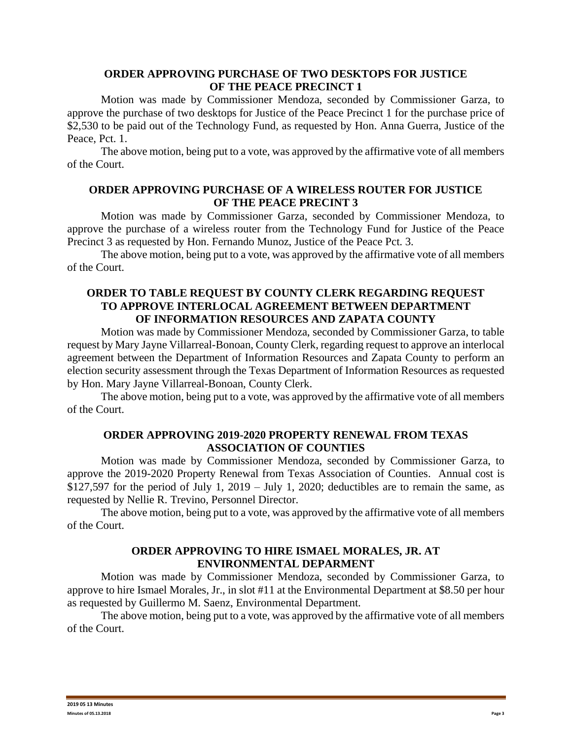## **ORDER APPROVING PURCHASE OF TWO DESKTOPS FOR JUSTICE OF THE PEACE PRECINCT 1**

Motion was made by Commissioner Mendoza, seconded by Commissioner Garza, to approve the purchase of two desktops for Justice of the Peace Precinct 1 for the purchase price of \$2,530 to be paid out of the Technology Fund, as requested by Hon. Anna Guerra, Justice of the Peace, Pct. 1.

The above motion, being put to a vote, was approved by the affirmative vote of all members of the Court.

## **ORDER APPROVING PURCHASE OF A WIRELESS ROUTER FOR JUSTICE OF THE PEACE PRECINT 3**

Motion was made by Commissioner Garza, seconded by Commissioner Mendoza, to approve the purchase of a wireless router from the Technology Fund for Justice of the Peace Precinct 3 as requested by Hon. Fernando Munoz, Justice of the Peace Pct. 3.

The above motion, being put to a vote, was approved by the affirmative vote of all members of the Court.

# **ORDER TO TABLE REQUEST BY COUNTY CLERK REGARDING REQUEST TO APPROVE INTERLOCAL AGREEMENT BETWEEN DEPARTMENT OF INFORMATION RESOURCES AND ZAPATA COUNTY**

Motion was made by Commissioner Mendoza, seconded by Commissioner Garza, to table request by Mary Jayne Villarreal-Bonoan, County Clerk, regarding request to approve an interlocal agreement between the Department of Information Resources and Zapata County to perform an election security assessment through the Texas Department of Information Resources as requested by Hon. Mary Jayne Villarreal-Bonoan, County Clerk.

The above motion, being put to a vote, was approved by the affirmative vote of all members of the Court.

# **ORDER APPROVING 2019-2020 PROPERTY RENEWAL FROM TEXAS ASSOCIATION OF COUNTIES**

Motion was made by Commissioner Mendoza, seconded by Commissioner Garza, to approve the 2019-2020 Property Renewal from Texas Association of Counties. Annual cost is \$127,597 for the period of July 1, 2019 – July 1, 2020; deductibles are to remain the same, as requested by Nellie R. Trevino, Personnel Director.

The above motion, being put to a vote, was approved by the affirmative vote of all members of the Court.

# **ORDER APPROVING TO HIRE ISMAEL MORALES, JR. AT ENVIRONMENTAL DEPARMENT**

Motion was made by Commissioner Mendoza, seconded by Commissioner Garza, to approve to hire Ismael Morales, Jr., in slot #11 at the Environmental Department at \$8.50 per hour as requested by Guillermo M. Saenz, Environmental Department.

The above motion, being put to a vote, was approved by the affirmative vote of all members of the Court.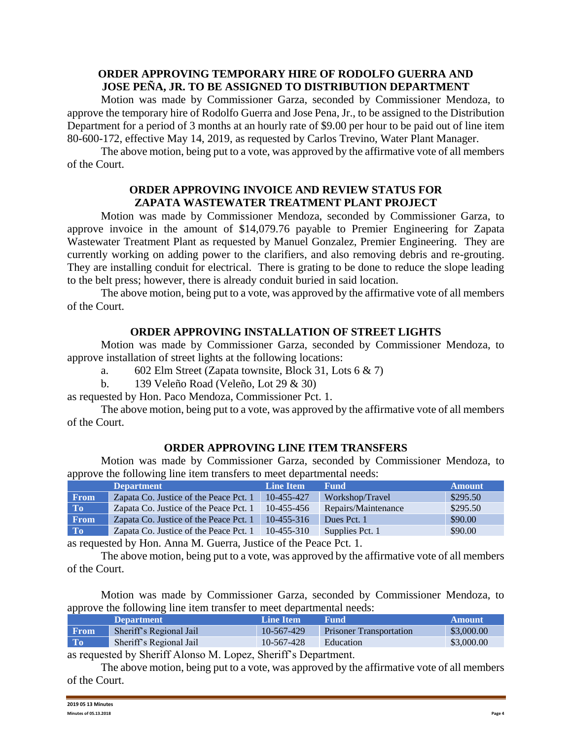# **ORDER APPROVING TEMPORARY HIRE OF RODOLFO GUERRA AND JOSE PEÑA, JR. TO BE ASSIGNED TO DISTRIBUTION DEPARTMENT**

Motion was made by Commissioner Garza, seconded by Commissioner Mendoza, to approve the temporary hire of Rodolfo Guerra and Jose Pena, Jr., to be assigned to the Distribution Department for a period of 3 months at an hourly rate of \$9.00 per hour to be paid out of line item 80-600-172, effective May 14, 2019, as requested by Carlos Trevino, Water Plant Manager.

The above motion, being put to a vote, was approved by the affirmative vote of all members of the Court.

## **ORDER APPROVING INVOICE AND REVIEW STATUS FOR ZAPATA WASTEWATER TREATMENT PLANT PROJECT**

Motion was made by Commissioner Mendoza, seconded by Commissioner Garza, to approve invoice in the amount of \$14,079.76 payable to Premier Engineering for Zapata Wastewater Treatment Plant as requested by Manuel Gonzalez, Premier Engineering. They are currently working on adding power to the clarifiers, and also removing debris and re-grouting. They are installing conduit for electrical. There is grating to be done to reduce the slope leading to the belt press; however, there is already conduit buried in said location.

The above motion, being put to a vote, was approved by the affirmative vote of all members of the Court.

# **ORDER APPROVING INSTALLATION OF STREET LIGHTS**

Motion was made by Commissioner Garza, seconded by Commissioner Mendoza, to approve installation of street lights at the following locations:

- a. 602 Elm Street (Zapata townsite, Block 31, Lots  $6 \& 7$ )
- b. 139 Veleño Road (Veleño, Lot 29 & 30)
- as requested by Hon. Paco Mendoza, Commissioner Pct. 1.

The above motion, being put to a vote, was approved by the affirmative vote of all members of the Court.

# **ORDER APPROVING LINE ITEM TRANSFERS**

Motion was made by Commissioner Garza, seconded by Commissioner Mendoza, to approve the following line item transfers to meet departmental needs:

|                | <b>Department</b>                      | <b>Line Item</b> | <b>Fund</b>         | <b>Amount</b> |
|----------------|----------------------------------------|------------------|---------------------|---------------|
| <b>From</b>    | Zapata Co. Justice of the Peace Pct. 1 | 10-455-427       | Workshop/Travel     | \$295.50      |
| T <sub>0</sub> | Zapata Co. Justice of the Peace Pct. 1 | 10-455-456       | Repairs/Maintenance | \$295.50      |
| <b>From</b>    | Zapata Co. Justice of the Peace Pct. 1 | $10-455-316$     | Dues Pct. 1         | \$90.00       |
| T <sub>0</sub> | Zapata Co. Justice of the Peace Pct. 1 | $10-455-310$     | Supplies Pct. 1     | \$90.00       |

as requested by Hon. Anna M. Guerra, Justice of the Peace Pct. 1.

The above motion, being put to a vote, was approved by the affirmative vote of all members of the Court.

Motion was made by Commissioner Garza, seconded by Commissioner Mendoza, to approve the following line item transfer to meet departmental needs:

|                | <b>Department</b>       | Line Item  | <b>Fund</b>                    | <b>Amount</b> |
|----------------|-------------------------|------------|--------------------------------|---------------|
| <b>From</b>    | Sheriff's Regional Jail | 10-567-429 | <b>Prisoner Transportation</b> | \$3,000.00    |
| T <sub>0</sub> | Sheriff's Regional Jail | 10-567-428 | Education                      | \$3,000.00    |
|                |                         |            |                                |               |

as requested by Sheriff Alonso M. Lopez, Sheriff's Department.

The above motion, being put to a vote, was approved by the affirmative vote of all members of the Court.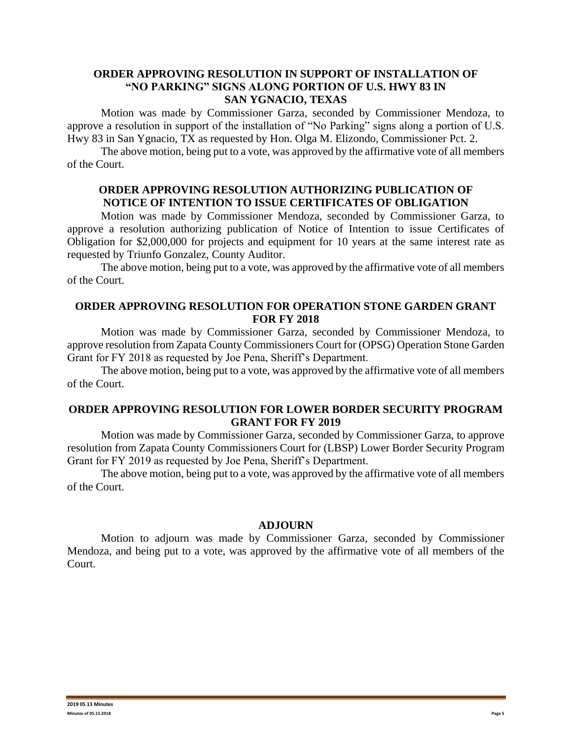#### **ORDER APPROVING RESOLUTION IN SUPPORT OF INSTALLATION OF "NO PARKING" SIGNS ALONG PORTION OF U.S. HWY 83 IN SAN YGNACIO, TEXAS**

Motion was made by Commissioner Garza, seconded by Commissioner Mendoza, to approve a resolution in support of the installation of "No Parking" signs along a portion of U.S. Hwy 83 in San Ygnacio, TX as requested by Hon. Olga M. Elizondo, Commissioner Pct. 2.

The above motion, being put to a vote, was approved by the affirmative vote of all members of the Court.

## **ORDER APPROVING RESOLUTION AUTHORIZING PUBLICATION OF NOTICE OF INTENTION TO ISSUE CERTIFICATES OF OBLIGATION**

Motion was made by Commissioner Mendoza, seconded by Commissioner Garza, to approve a resolution authorizing publication of Notice of Intention to issue Certificates of Obligation for \$2,000,000 for projects and equipment for 10 years at the same interest rate as requested by Triunfo Gonzalez, County Auditor.

The above motion, being put to a vote, was approved by the affirmative vote of all members of the Court.

# **ORDER APPROVING RESOLUTION FOR OPERATION STONE GARDEN GRANT FOR FY 2018**

Motion was made by Commissioner Garza, seconded by Commissioner Mendoza, to approve resolution from Zapata County Commissioners Court for (OPSG) Operation Stone Garden Grant for FY 2018 as requested by Joe Pena, Sheriff's Department.

The above motion, being put to a vote, was approved by the affirmative vote of all members of the Court.

# **ORDER APPROVING RESOLUTION FOR LOWER BORDER SECURITY PROGRAM GRANT FOR FY 2019**

Motion was made by Commissioner Garza, seconded by Commissioner Garza, to approve resolution from Zapata County Commissioners Court for (LBSP) Lower Border Security Program Grant for FY 2019 as requested by Joe Pena, Sheriff's Department.

The above motion, being put to a vote, was approved by the affirmative vote of all members of the Court.

#### **ADJOURN**

Motion to adjourn was made by Commissioner Garza, seconded by Commissioner Mendoza, and being put to a vote, was approved by the affirmative vote of all members of the Court.